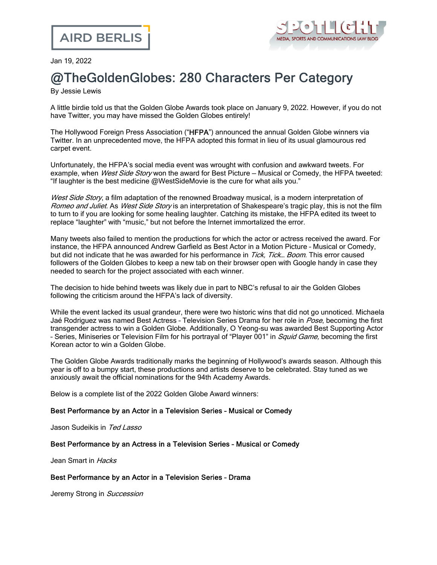

Jan 19, 2022

# @TheGoldenGlobes: 280 Characters Per Category

By Jessie Lewis

A little birdie told us that the Golden Globe Awards took place on January 9, 2022. However, if you do not have Twitter, you may have missed the Golden Globes entirely!

The Hollywood Foreign Press Association ("HFPA") announced the annual Golden Globe winners via Twitter. In an unprecedented move, the HFPA adopted this format in lieu of its usual glamourous red carpet event.

Unfortunately, the HFPA's social media event was wrought with confusion and awkward tweets. For example, when West Side Story won the award for Best Picture – Musical or Comedy, the HFPA tweeted: "If laughter is the best medicine @WestSideMovie is the cure for what ails you."

West Side Story, a film adaptation of the renowned Broadway musical, is a modern interpretation of Romeo and Juliet. As West Side Story is an interpretation of Shakespeare's tragic play, this is not the film to turn to if you are looking for some healing laughter. Catching its mistake, the HFPA edited its tweet to replace "laughter" with "music," but not before the Internet [immortalized](https://www.theverge.com/2022/1/10/22876537/golden-globes-awards-twitter) the error.

Many tweets also failed to mention the productions for which the actor or actress received the award. For instance, the HFPA announced Andrew Garfield as Best Actor in a Motion Picture – Musical or Comedy, but did not indicate that he was awarded for his performance in Tick, Tick... Boom. This error caused followers of the Golden Globes to keep a new tab on their browser open with Google handy in case they needed to search for the project associated with each winner.

The decision to hide behind tweets was likely due in part to NBC's [refusal](https://www.cbc.ca/news/entertainment/nbc-cancels-golden-globes-1.6020797) to air the Golden Globes following the criticism around the HFPA's lack of diversity.

While the event lacked its usual grandeur, there were two historic wins that did not go unnoticed. Michaela Jaé Rodriguez was named Best Actress - Television Series Drama for her role in Pose, becoming the first transgender actress to win a Golden Globe. Additionally, O Yeong-su was awarded Best Supporting Actor - Series, Miniseries or Television Film for his portrayal of "Player 001" in *Squid Game*, becoming the first Korean actor to win a Golden Globe.

The Golden Globe Awards traditionally marks the beginning of Hollywood's awards season. Although this year is off to a bumpy start, these productions and artists deserve to be celebrated. Stay tuned as we anxiously await the official nominations for the 94th Academy Awards.

Below is a complete list of the 2022 Golden Globe Award winners:

#### Best Performance by an Actor in a Television Series – Musical or Comedy

Jason Sudeikis in Ted Lasso

# Best Performance by an Actress in a Television Series – Musical or Comedy

Jean Smart in Hacks

#### Best Performance by an Actor in a Television Series – Drama

Jeremy Strong in Succession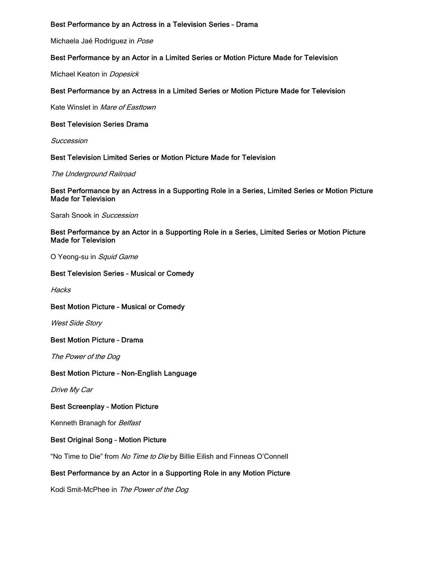# Best Performance by an Actress in a Television Series – Drama

Michaela Jaé Rodriguez in Pose

# Best Performance by an Actor in a Limited Series or Motion Picture Made for Television

Michael Keaton in *Dopesick* 

# Best Performance by an Actress in a Limited Series or Motion Picture Made for Television

Kate Winslet in Mare of Easttown

#### Best Television Series Drama

Succession

# Best Television Limited Series or Motion Picture Made for Television

The Underground Railroad

#### Best Performance by an Actress in a Supporting Role in a Series, Limited Series or Motion Picture Made for Television

Sarah Snook in Succession

# Best Performance by an Actor in a Supporting Role in a Series, Limited Series or Motion Picture Made for Television

O Yeong-su in Squid Game

#### Best Television Series – Musical or Comedy

**Hacks** 

#### Best Motion Picture – Musical or Comedy

West Side Story

Best Motion Picture – Drama

The Power of the Dog

#### Best Motion Picture – Non-English Language

Drive My Car

#### Best Screenplay – Motion Picture

Kenneth Branagh for Belfast

#### Best Original Song – Motion Picture

"No Time to Die" from No Time to Die by Billie Eilish and Finneas O'Connell

# Best Performance by an Actor in a Supporting Role in any Motion Picture

Kodi Smit-McPhee in The Power of the Dog